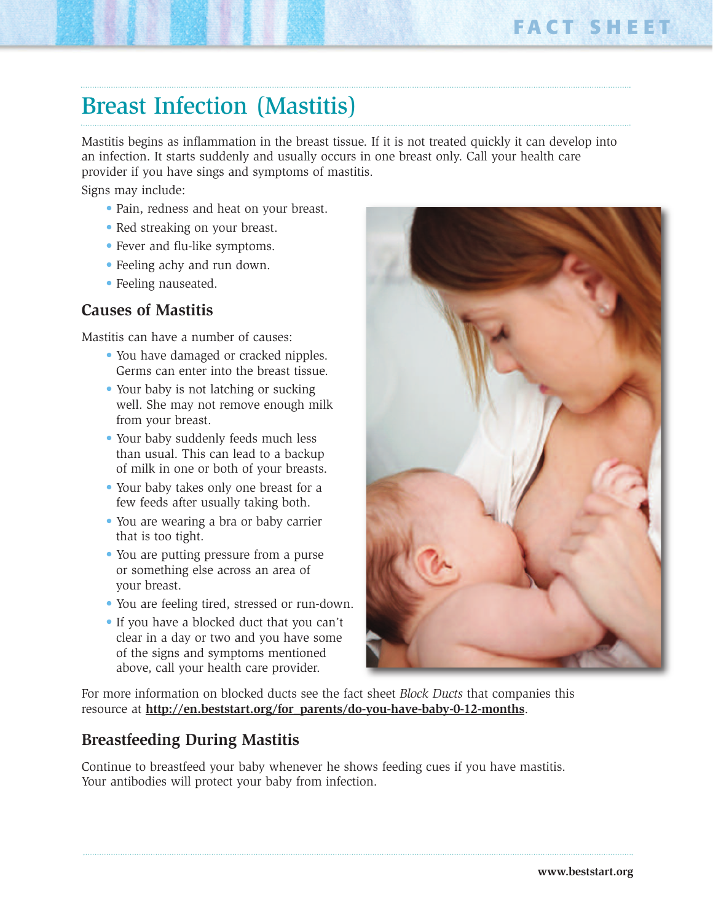## Breast Infection (Mastitis)

Mastitis begins as inflammation in the breast tissue. If it is not treated quickly it can develop into an infection. It starts suddenly and usually occurs in one breast only. Call your health care provider if you have sings and symptoms of mastitis.

Signs may include:

- Pain, redness and heat on your breast.
- Red streaking on your breast.
- Fever and flu-like symptoms.
- Feeling achy and run down.
- Feeling nauseated.

## **Causes of Mastitis**

Mastitis can have a number of causes:

- You have damaged or cracked nipples. Germs can enter into the breast tissue.
- Your baby is not latching or sucking well. She may not remove enough milk from your breast.
- Your baby suddenly feeds much less than usual. This can lead to a backup of milk in one or both of your breasts.
- Your baby takes only one breast for a few feeds after usually taking both.
- You are wearing a bra or baby carrier that is too tight.
- You are putting pressure from a purse or something else across an area of your breast.
- You are feeling tired, stressed or run-down.
- If you have a blocked duct that you can't clear in a day or two and you have some of the signs and symptoms mentioned above, call your health care provider.



For more information on blocked ducts see the fact sheet *Block Ducts* that companies this resource at **http://en.beststart.org/for\_parents/do-you-have-baby-0-12-months**.

## **Breastfeeding During Mastitis**

Continue to breastfeed your baby whenever he shows feeding cues if you have mastitis. Your antibodies will protect your baby from infection.